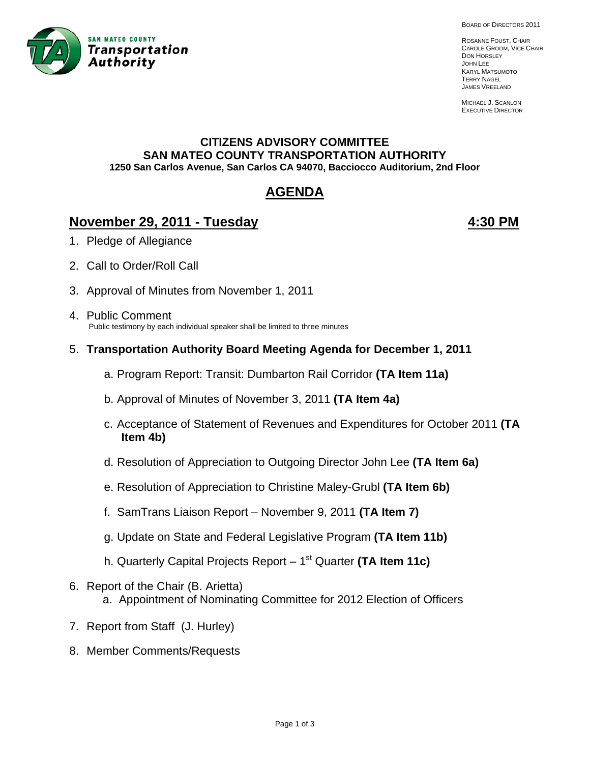

BOARD OF DIRECTORS 2011

ROSANNE FOUST, CHAIR CAROLE GROOM, VICE CHAIR DON HORSLEY JOHN LEE KARYL MATSUMOTO TERRY NAGEL JAMES VREELAND

MICHAEL J. SCANLON EXECUTIVE DIRECTOR

## **CITIZENS ADVISORY COMMITTEE SAN MATEO COUNTY TRANSPORTATION AUTHORITY 1250 San Carlos Avenue, San Carlos CA 94070, Bacciocco Auditorium, 2nd Floor**

# **AGENDA**

## **November 29, 2011 - Tuesday 4:30 PM**

- 1. Pledge of Allegiance
- 2. Call to Order/Roll Call
- 3. Approval of Minutes from November 1, 2011
- 4. Public Comment Public testimony by each individual speaker shall be limited to three minutes
- 5. **Transportation Authority Board Meeting Agenda for December 1, 2011**
	- a. Program Report: Transit: Dumbarton Rail Corridor **(TA Item 11a)**
	- b. Approval of Minutes of November 3, 2011 **(TA Item 4a)**
	- c. Acceptance of Statement of Revenues and Expenditures for October 2011 **(TA Item 4b)**
	- d. Resolution of Appreciation to Outgoing Director John Lee **(TA Item 6a)**
	- e. Resolution of Appreciation to Christine Maley-Grubl **(TA Item 6b)**
	- f. SamTrans Liaison Report November 9, 2011 **(TA Item 7)**
	- g. Update on State and Federal Legislative Program **(TA Item 11b)**
	- h. Quarterly Capital Projects Report 1st Quarter **(TA Item 11c)**
- 6. Report of the Chair (B. Arietta) a. Appointment of Nominating Committee for 2012 Election of Officers
- 7. Report from Staff (J. Hurley)
- 8. Member Comments/Requests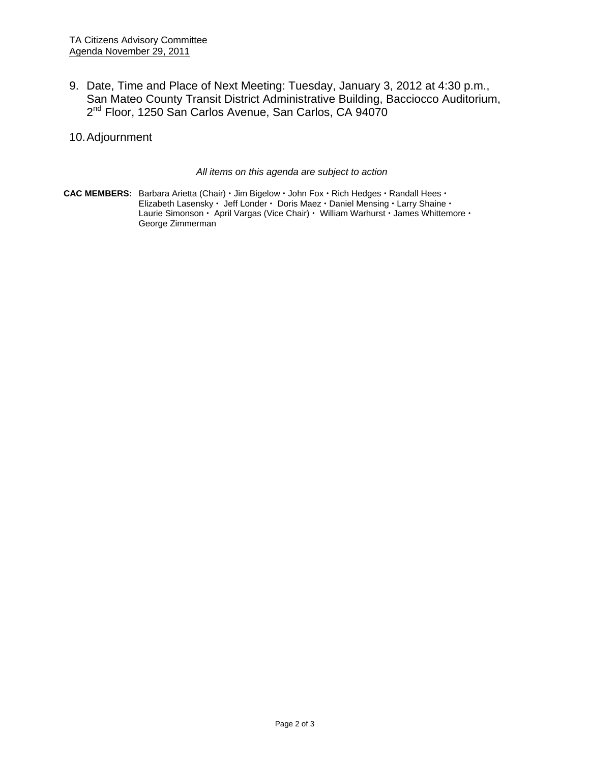- 9. Date, Time and Place of Next Meeting: Tuesday, January 3, 2012 at 4:30 p.m., San Mateo County Transit District Administrative Building, Bacciocco Auditorium, 2<sup>nd</sup> Floor, 1250 San Carlos Avenue, San Carlos, CA 94070
- 10. Adjournment

*All items on this agenda are subject to action* 

CAC MEMBERS: Barbara Arietta (Chair) · Jim Bigelow · John Fox · Rich Hedges · Randall Hees · Elizabeth Lasensky · Jeff Londer · Doris Maez · Daniel Mensing · Larry Shaine · Laurie Simonson · April Vargas (Vice Chair) · William Warhurst · James Whittemore · George Zimmerman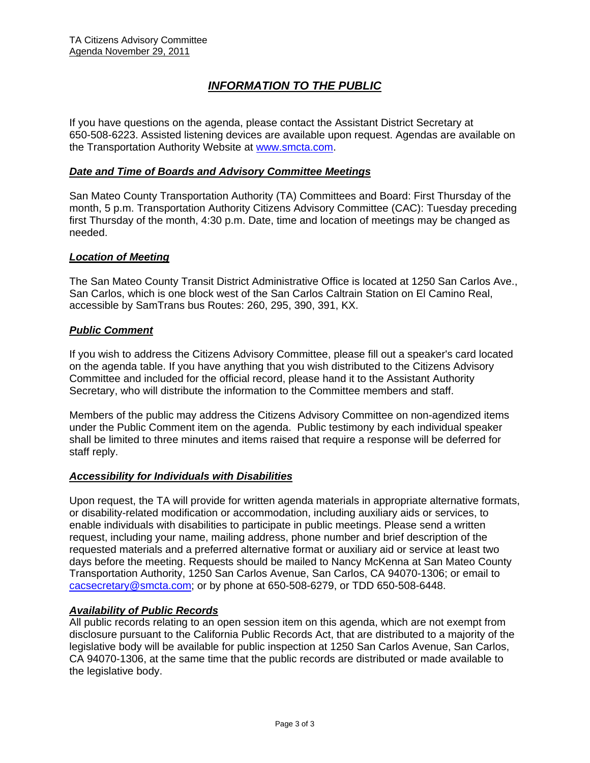## *INFORMATION TO THE PUBLIC*

If you have questions on the agenda, please contact the Assistant District Secretary at 650-508-6223. Assisted listening devices are available upon request. Agendas are available on the Transportation Authority Website at www.smcta.com.

#### *Date and Time of Boards and Advisory Committee Meetings*

San Mateo County Transportation Authority (TA) Committees and Board: First Thursday of the month, 5 p.m. Transportation Authority Citizens Advisory Committee (CAC): Tuesday preceding first Thursday of the month, 4:30 p.m. Date, time and location of meetings may be changed as needed.

#### *Location of Meeting*

The San Mateo County Transit District Administrative Office is located at 1250 San Carlos Ave., San Carlos, which is one block west of the San Carlos Caltrain Station on El Camino Real, accessible by SamTrans bus Routes: 260, 295, 390, 391, KX.

#### *Public Comment*

If you wish to address the Citizens Advisory Committee, please fill out a speaker's card located on the agenda table. If you have anything that you wish distributed to the Citizens Advisory Committee and included for the official record, please hand it to the Assistant Authority Secretary, who will distribute the information to the Committee members and staff.

Members of the public may address the Citizens Advisory Committee on non-agendized items under the Public Comment item on the agenda. Public testimony by each individual speaker shall be limited to three minutes and items raised that require a response will be deferred for staff reply.

#### *Accessibility for Individuals with Disabilities*

Upon request, the TA will provide for written agenda materials in appropriate alternative formats, or disability-related modification or accommodation, including auxiliary aids or services, to enable individuals with disabilities to participate in public meetings. Please send a written request, including your name, mailing address, phone number and brief description of the requested materials and a preferred alternative format or auxiliary aid or service at least two days before the meeting. Requests should be mailed to Nancy McKenna at San Mateo County Transportation Authority, 1250 San Carlos Avenue, San Carlos, CA 94070-1306; or email to cacsecretary@smcta.com; or by phone at 650-508-6279, or TDD 650-508-6448.

#### *Availability of Public Records*

All public records relating to an open session item on this agenda, which are not exempt from disclosure pursuant to the California Public Records Act, that are distributed to a majority of the legislative body will be available for public inspection at 1250 San Carlos Avenue, San Carlos, CA 94070-1306, at the same time that the public records are distributed or made available to the legislative body.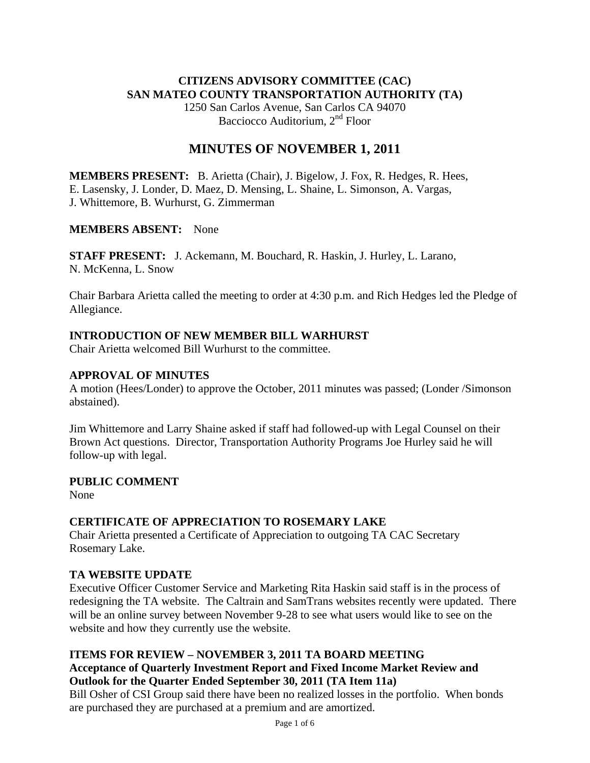## **CITIZENS ADVISORY COMMITTEE (CAC) SAN MATEO COUNTY TRANSPORTATION AUTHORITY (TA)**

1250 San Carlos Avenue, San Carlos CA 94070 Bacciocco Auditorium, 2<sup>nd</sup> Floor

## **MINUTES OF NOVEMBER 1, 2011**

**MEMBERS PRESENT:** B. Arietta (Chair), J. Bigelow, J. Fox, R. Hedges, R. Hees, E. Lasensky, J. Londer, D. Maez, D. Mensing, L. Shaine, L. Simonson, A. Vargas, J. Whittemore, B. Wurhurst, G. Zimmerman

### **MEMBERS ABSENT:** None

**STAFF PRESENT:** J. Ackemann, M. Bouchard, R. Haskin, J. Hurley, L. Larano, N. McKenna, L. Snow

Chair Barbara Arietta called the meeting to order at 4:30 p.m. and Rich Hedges led the Pledge of Allegiance.

## **INTRODUCTION OF NEW MEMBER BILL WARHURST**

Chair Arietta welcomed Bill Wurhurst to the committee.

## **APPROVAL OF MINUTES**

A motion (Hees/Londer) to approve the October, 2011 minutes was passed; (Londer /Simonson abstained).

Jim Whittemore and Larry Shaine asked if staff had followed-up with Legal Counsel on their Brown Act questions. Director, Transportation Authority Programs Joe Hurley said he will follow-up with legal.

### **PUBLIC COMMENT**

None

## **CERTIFICATE OF APPRECIATION TO ROSEMARY LAKE**

Chair Arietta presented a Certificate of Appreciation to outgoing TA CAC Secretary Rosemary Lake.

## **TA WEBSITE UPDATE**

Executive Officer Customer Service and Marketing Rita Haskin said staff is in the process of redesigning the TA website. The Caltrain and SamTrans websites recently were updated. There will be an online survey between November 9-28 to see what users would like to see on the website and how they currently use the website.

### **ITEMS FOR REVIEW – NOVEMBER 3, 2011 TA BOARD MEETING Acceptance of Quarterly Investment Report and Fixed Income Market Review and Outlook for the Quarter Ended September 30, 2011 (TA Item 11a)**

Bill Osher of CSI Group said there have been no realized losses in the portfolio. When bonds are purchased they are purchased at a premium and are amortized.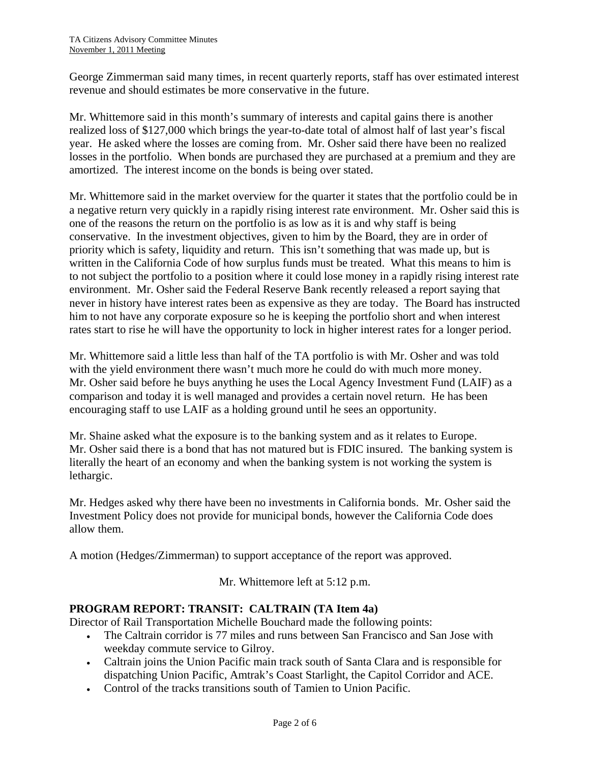George Zimmerman said many times, in recent quarterly reports, staff has over estimated interest revenue and should estimates be more conservative in the future.

Mr. Whittemore said in this month's summary of interests and capital gains there is another realized loss of \$127,000 which brings the year-to-date total of almost half of last year's fiscal year. He asked where the losses are coming from. Mr. Osher said there have been no realized losses in the portfolio. When bonds are purchased they are purchased at a premium and they are amortized. The interest income on the bonds is being over stated.

Mr. Whittemore said in the market overview for the quarter it states that the portfolio could be in a negative return very quickly in a rapidly rising interest rate environment. Mr. Osher said this is one of the reasons the return on the portfolio is as low as it is and why staff is being conservative. In the investment objectives, given to him by the Board, they are in order of priority which is safety, liquidity and return. This isn't something that was made up, but is written in the California Code of how surplus funds must be treated. What this means to him is to not subject the portfolio to a position where it could lose money in a rapidly rising interest rate environment. Mr. Osher said the Federal Reserve Bank recently released a report saying that never in history have interest rates been as expensive as they are today. The Board has instructed him to not have any corporate exposure so he is keeping the portfolio short and when interest rates start to rise he will have the opportunity to lock in higher interest rates for a longer period.

Mr. Whittemore said a little less than half of the TA portfolio is with Mr. Osher and was told with the yield environment there wasn't much more he could do with much more money. Mr. Osher said before he buys anything he uses the Local Agency Investment Fund (LAIF) as a comparison and today it is well managed and provides a certain novel return. He has been encouraging staff to use LAIF as a holding ground until he sees an opportunity.

Mr. Shaine asked what the exposure is to the banking system and as it relates to Europe. Mr. Osher said there is a bond that has not matured but is FDIC insured. The banking system is literally the heart of an economy and when the banking system is not working the system is lethargic.

Mr. Hedges asked why there have been no investments in California bonds. Mr. Osher said the Investment Policy does not provide for municipal bonds, however the California Code does allow them.

A motion (Hedges/Zimmerman) to support acceptance of the report was approved.

Mr. Whittemore left at 5:12 p.m.

## **PROGRAM REPORT: TRANSIT: CALTRAIN (TA Item 4a)**

Director of Rail Transportation Michelle Bouchard made the following points:

- The Caltrain corridor is 77 miles and runs between San Francisco and San Jose with weekday commute service to Gilroy.
- Caltrain joins the Union Pacific main track south of Santa Clara and is responsible for dispatching Union Pacific, Amtrak's Coast Starlight, the Capitol Corridor and ACE.
- Control of the tracks transitions south of Tamien to Union Pacific.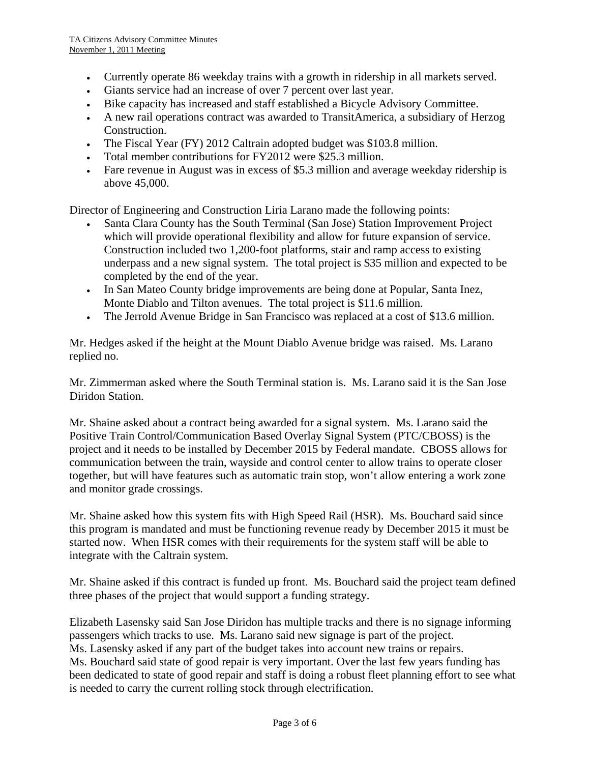- Currently operate 86 weekday trains with a growth in ridership in all markets served.
- Giants service had an increase of over 7 percent over last year.
- Bike capacity has increased and staff established a Bicycle Advisory Committee.
- A new rail operations contract was awarded to TransitAmerica, a subsidiary of Herzog Construction.
- The Fiscal Year (FY) 2012 Caltrain adopted budget was \$103.8 million.
- Total member contributions for FY2012 were \$25.3 million.
- Fare revenue in August was in excess of \$5.3 million and average weekday ridership is above 45,000.

Director of Engineering and Construction Liria Larano made the following points:

- Santa Clara County has the South Terminal (San Jose) Station Improvement Project which will provide operational flexibility and allow for future expansion of service. Construction included two 1,200-foot platforms, stair and ramp access to existing underpass and a new signal system. The total project is \$35 million and expected to be completed by the end of the year.
- In San Mateo County bridge improvements are being done at Popular, Santa Inez, Monte Diablo and Tilton avenues. The total project is \$11.6 million.
- The Jerrold Avenue Bridge in San Francisco was replaced at a cost of \$13.6 million.

Mr. Hedges asked if the height at the Mount Diablo Avenue bridge was raised. Ms. Larano replied no.

Mr. Zimmerman asked where the South Terminal station is. Ms. Larano said it is the San Jose Diridon Station.

Mr. Shaine asked about a contract being awarded for a signal system. Ms. Larano said the Positive Train Control/Communication Based Overlay Signal System (PTC/CBOSS) is the project and it needs to be installed by December 2015 by Federal mandate. CBOSS allows for communication between the train, wayside and control center to allow trains to operate closer together, but will have features such as automatic train stop, won't allow entering a work zone and monitor grade crossings.

Mr. Shaine asked how this system fits with High Speed Rail (HSR). Ms. Bouchard said since this program is mandated and must be functioning revenue ready by December 2015 it must be started now. When HSR comes with their requirements for the system staff will be able to integrate with the Caltrain system.

Mr. Shaine asked if this contract is funded up front. Ms. Bouchard said the project team defined three phases of the project that would support a funding strategy.

Elizabeth Lasensky said San Jose Diridon has multiple tracks and there is no signage informing passengers which tracks to use. Ms. Larano said new signage is part of the project. Ms. Lasensky asked if any part of the budget takes into account new trains or repairs. Ms. Bouchard said state of good repair is very important. Over the last few years funding has been dedicated to state of good repair and staff is doing a robust fleet planning effort to see what is needed to carry the current rolling stock through electrification.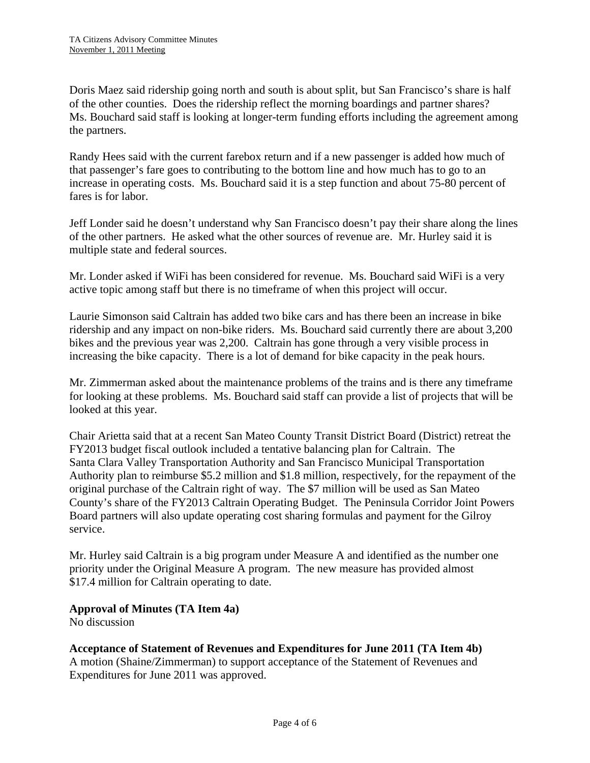Doris Maez said ridership going north and south is about split, but San Francisco's share is half of the other counties. Does the ridership reflect the morning boardings and partner shares? Ms. Bouchard said staff is looking at longer-term funding efforts including the agreement among the partners.

Randy Hees said with the current farebox return and if a new passenger is added how much of that passenger's fare goes to contributing to the bottom line and how much has to go to an increase in operating costs. Ms. Bouchard said it is a step function and about 75-80 percent of fares is for labor.

Jeff Londer said he doesn't understand why San Francisco doesn't pay their share along the lines of the other partners. He asked what the other sources of revenue are. Mr. Hurley said it is multiple state and federal sources.

Mr. Londer asked if WiFi has been considered for revenue. Ms. Bouchard said WiFi is a very active topic among staff but there is no timeframe of when this project will occur.

Laurie Simonson said Caltrain has added two bike cars and has there been an increase in bike ridership and any impact on non-bike riders. Ms. Bouchard said currently there are about 3,200 bikes and the previous year was 2,200. Caltrain has gone through a very visible process in increasing the bike capacity. There is a lot of demand for bike capacity in the peak hours.

Mr. Zimmerman asked about the maintenance problems of the trains and is there any timeframe for looking at these problems. Ms. Bouchard said staff can provide a list of projects that will be looked at this year.

Chair Arietta said that at a recent San Mateo County Transit District Board (District) retreat the FY2013 budget fiscal outlook included a tentative balancing plan for Caltrain. The Santa Clara Valley Transportation Authority and San Francisco Municipal Transportation Authority plan to reimburse \$5.2 million and \$1.8 million, respectively, for the repayment of the original purchase of the Caltrain right of way. The \$7 million will be used as San Mateo County's share of the FY2013 Caltrain Operating Budget. The Peninsula Corridor Joint Powers Board partners will also update operating cost sharing formulas and payment for the Gilroy service.

Mr. Hurley said Caltrain is a big program under Measure A and identified as the number one priority under the Original Measure A program. The new measure has provided almost \$17.4 million for Caltrain operating to date.

### **Approval of Minutes (TA Item 4a)**

No discussion

## **Acceptance of Statement of Revenues and Expenditures for June 2011 (TA Item 4b)**

A motion (Shaine/Zimmerman) to support acceptance of the Statement of Revenues and Expenditures for June 2011 was approved.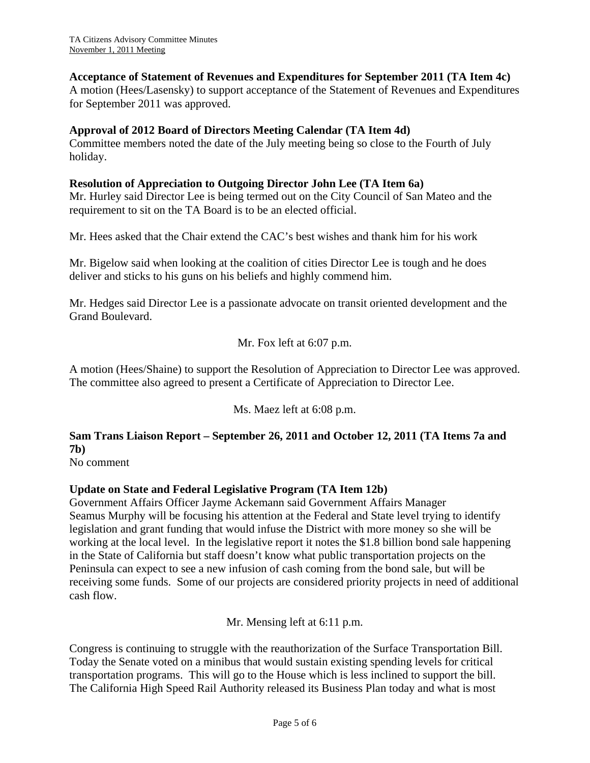### **Acceptance of Statement of Revenues and Expenditures for September 2011 (TA Item 4c)**

A motion (Hees/Lasensky) to support acceptance of the Statement of Revenues and Expenditures for September 2011 was approved.

### **Approval of 2012 Board of Directors Meeting Calendar (TA Item 4d)**

Committee members noted the date of the July meeting being so close to the Fourth of July holiday.

### **Resolution of Appreciation to Outgoing Director John Lee (TA Item 6a)**

Mr. Hurley said Director Lee is being termed out on the City Council of San Mateo and the requirement to sit on the TA Board is to be an elected official.

Mr. Hees asked that the Chair extend the CAC's best wishes and thank him for his work

Mr. Bigelow said when looking at the coalition of cities Director Lee is tough and he does deliver and sticks to his guns on his beliefs and highly commend him.

Mr. Hedges said Director Lee is a passionate advocate on transit oriented development and the Grand Boulevard.

Mr. Fox left at 6:07 p.m.

A motion (Hees/Shaine) to support the Resolution of Appreciation to Director Lee was approved. The committee also agreed to present a Certificate of Appreciation to Director Lee.

Ms. Maez left at 6:08 p.m.

## **Sam Trans Liaison Report – September 26, 2011 and October 12, 2011 (TA Items 7a and 7b)**

No comment

## **Update on State and Federal Legislative Program (TA Item 12b)**

Government Affairs Officer Jayme Ackemann said Government Affairs Manager Seamus Murphy will be focusing his attention at the Federal and State level trying to identify legislation and grant funding that would infuse the District with more money so she will be working at the local level. In the legislative report it notes the \$1.8 billion bond sale happening in the State of California but staff doesn't know what public transportation projects on the Peninsula can expect to see a new infusion of cash coming from the bond sale, but will be receiving some funds. Some of our projects are considered priority projects in need of additional cash flow.

Mr. Mensing left at 6:11 p.m.

Congress is continuing to struggle with the reauthorization of the Surface Transportation Bill. Today the Senate voted on a minibus that would sustain existing spending levels for critical transportation programs. This will go to the House which is less inclined to support the bill. The California High Speed Rail Authority released its Business Plan today and what is most